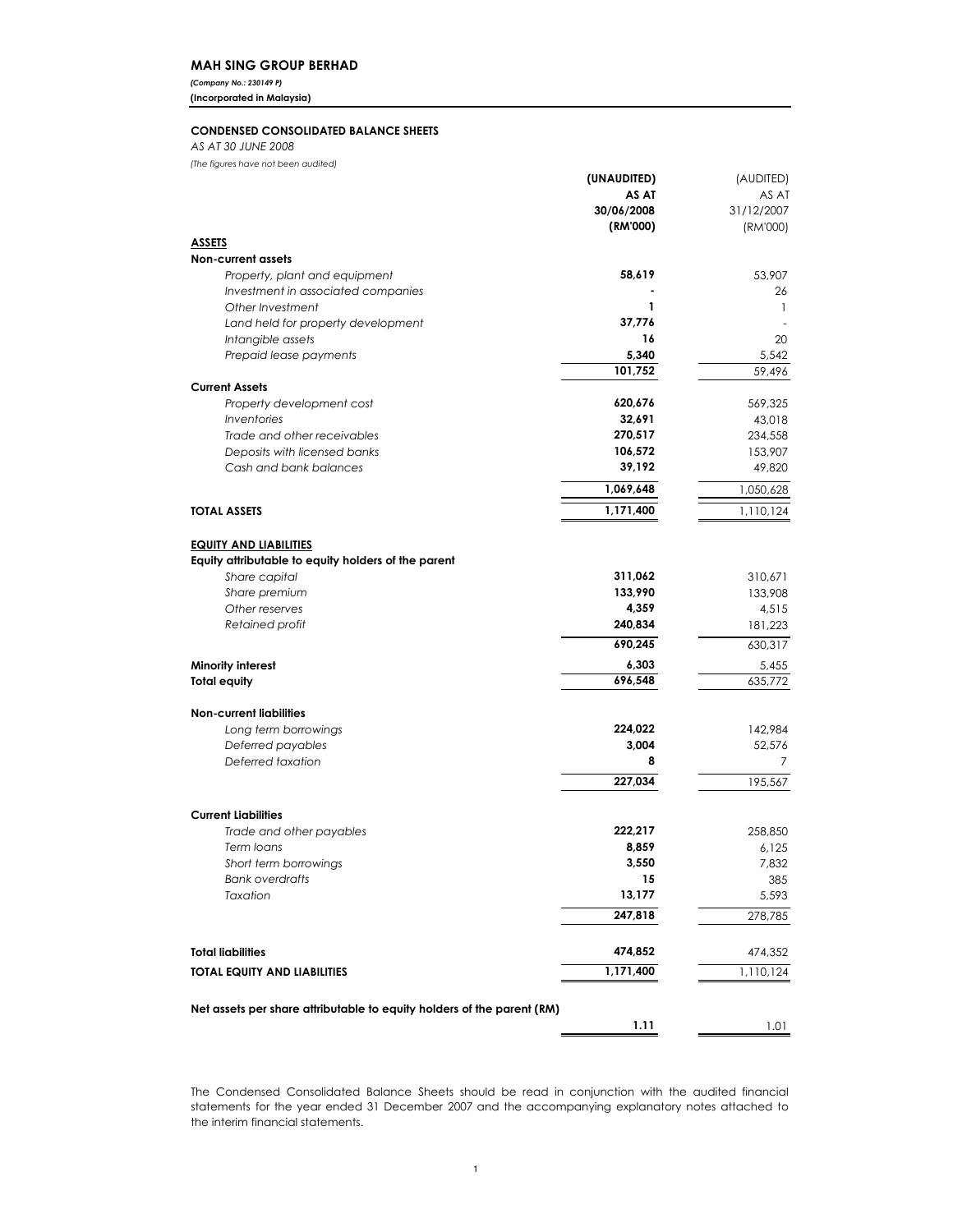### MAH SING GROUP BERHAD

(Company No.: 230149 P)

(Incorporated in Malaysia)

### CONDENSED CONSOLIDATED BALANCE SHEETS

AS AT 30 JUNE 2008

(The figures have not been audited)

|                                                                        | (UNAUDITED) | (AUDITED)          |
|------------------------------------------------------------------------|-------------|--------------------|
|                                                                        | AS AT       | AS AT              |
|                                                                        | 30/06/2008  | 31/12/2007         |
|                                                                        | (RM'000)    | (RM'000)           |
| <u>ASSETS</u>                                                          |             |                    |
| <b>Non-current assets</b>                                              |             |                    |
| Property, plant and equipment                                          | 58,619      | 53,907             |
| Investment in associated companies                                     | 1           | 26<br>$\mathbf{1}$ |
| Other Investment<br>Land held for property development                 | 37,776      |                    |
| Intangible assets                                                      | 16          | 20                 |
| Prepaid lease payments                                                 | 5,340       | 5,542              |
|                                                                        | 101,752     | 59,496             |
| <b>Current Assets</b>                                                  |             |                    |
| Property development cost                                              | 620,676     | 569,325            |
| <i><u><b>Inventories</b></u></i>                                       | 32,691      | 43,018             |
| Trade and other receivables                                            | 270,517     | 234,558            |
| Deposits with licensed banks                                           | 106,572     | 153,907            |
| Cash and bank balances                                                 | 39,192      | 49,820             |
|                                                                        | 1,069,648   | 1,050,628          |
| <b>TOTAL ASSETS</b>                                                    | 1,171,400   | 1,110,124          |
|                                                                        |             |                    |
| <b>EQUITY AND LIABILITIES</b>                                          |             |                    |
| Equity attributable to equity holders of the parent                    |             |                    |
| Share capital                                                          | 311,062     | 310,671            |
| Share premium                                                          | 133,990     | 133,908            |
| Other reserves                                                         | 4,359       | 4,515              |
| Retained profit                                                        | 240,834     | 181,223            |
|                                                                        | 690,245     | 630,317            |
| Minority interest                                                      | 6,303       | 5,455              |
| <b>Total equity</b>                                                    | 696,548     | 635,772            |
| <b>Non-current liabilities</b>                                         |             |                    |
| Long term borrowings                                                   | 224,022     | 142,984            |
| Deferred payables                                                      | 3,004       | 52,576             |
| Deferred taxation                                                      | 8           | 7                  |
|                                                                        | 227,034     | 195,567            |
|                                                                        |             |                    |
| <b>Current Liabilities</b>                                             |             |                    |
| Trade and other payables                                               | 222,217     | 258,850            |
| Term loans                                                             | 8,859       | 6,125              |
| Short term borrowings                                                  | 3,550       | 7,832              |
| <b>Bank overdrafts</b>                                                 | 15          | 385                |
| Taxation                                                               | 13,177      | 5,593              |
|                                                                        | 247,818     | 278,785            |
|                                                                        |             |                    |
| <b>Total liabilities</b>                                               | 474,852     | 474,352            |
| <b>TOTAL EQUITY AND LIABILITIES</b>                                    | 1,171,400   | 1,110,124          |
|                                                                        |             |                    |
| Net assets per share attributable to equity holders of the parent (RM) | 1.11        |                    |
|                                                                        |             | 1.01               |

The Condensed Consolidated Balance Sheets should be read in conjunction with the audited financial statements for the year ended 31 December 2007 and the accompanying explanatory notes attached to the interim financial statements.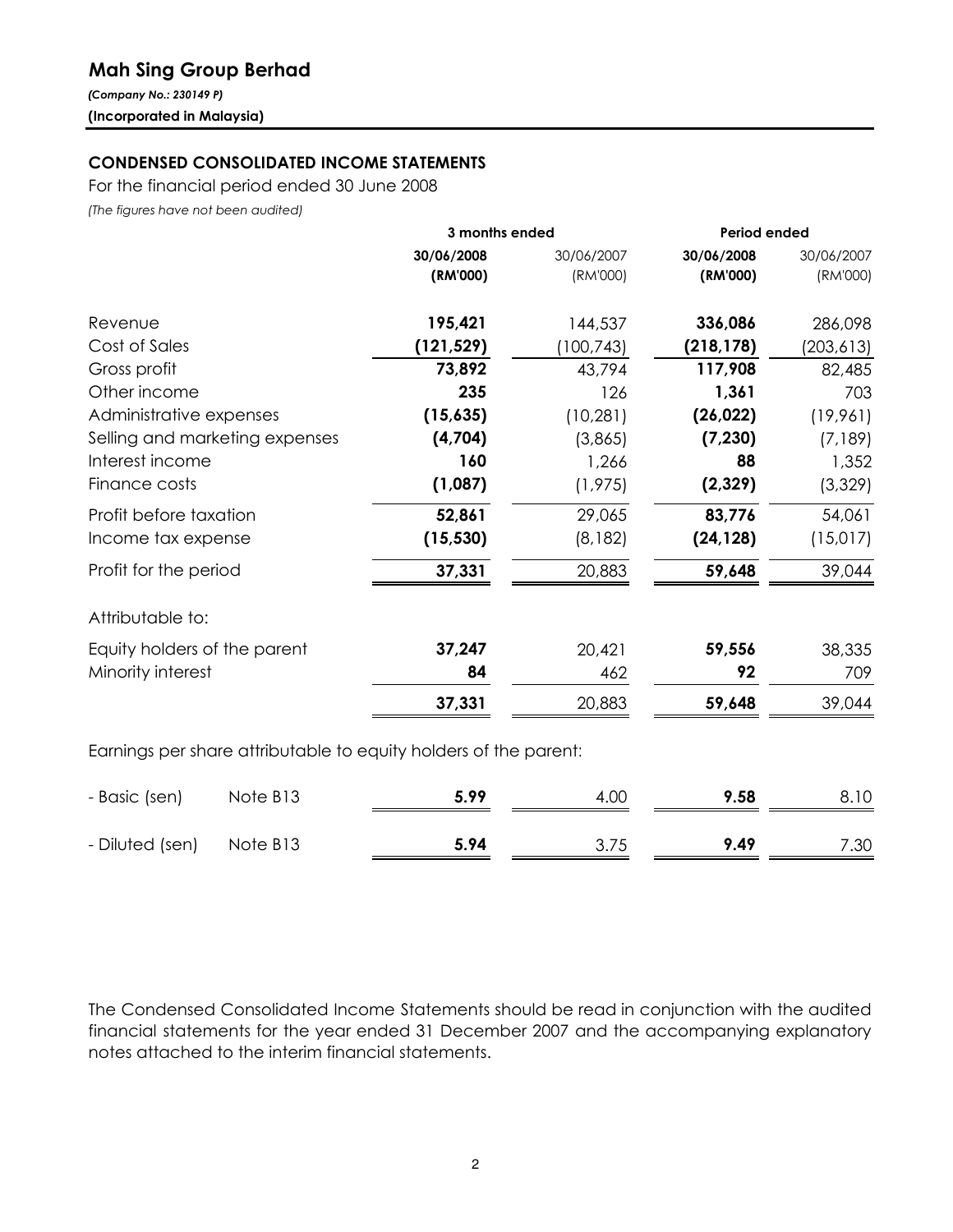# Mah Sing Group Berhad

(Company No.: 230149 P) (Incorporated in Malaysia)

# CONDENSED CONSOLIDATED INCOME STATEMENTS

For the financial period ended 30 June 2008

(The figures have not been audited)

|                                | 3 months ended |            | Period ended |            |  |
|--------------------------------|----------------|------------|--------------|------------|--|
|                                | 30/06/2008     | 30/06/2007 | 30/06/2008   | 30/06/2007 |  |
|                                | (RM'000)       | (RM'000)   | (RM'000)     | (RM'000)   |  |
| Revenue                        | 195,421        | 144,537    | 336,086      | 286,098    |  |
| Cost of Sales                  | (121, 529)     | (100, 743) | (218, 178)   | (203, 613) |  |
| Gross profit                   | 73,892         | 43,794     | 117,908      | 82,485     |  |
| Other income                   | 235            | 126        | 1,361        | 703        |  |
| Administrative expenses        | (15,635)       | (10, 281)  | (26, 022)    | (19,961)   |  |
| Selling and marketing expenses | (4,704)        | (3,865)    | (7, 230)     | (7,189)    |  |
| Interest income                | 160            | 1,266      | 88           | 1,352      |  |
| Finance costs                  | (1,087)        | (1, 975)   | (2,329)      | (3,329)    |  |
| Profit before taxation         | 52,861         | 29,065     | 83,776       | 54,061     |  |
| Income tax expense             | (15, 530)      | (8, 182)   | (24, 128)    | (15,017)   |  |
| Profit for the period          | 37,331         | 20,883     | 59,648       | 39,044     |  |
| Attributable to:               |                |            |              |            |  |
| Equity holders of the parent   | 37,247         | 20,421     | 59,556       | 38,335     |  |
| Minority interest              | 84             | 462        | 92           | 709        |  |
|                                | 37,331         | 20,883     | 59,648       | 39,044     |  |
|                                |                |            |              |            |  |

Earnings per share attributable to equity holders of the parent:

| - Basic (sen)   | Note B <sub>13</sub> | 5.99 | 4.00 | 9.58 | 8.10 |
|-----------------|----------------------|------|------|------|------|
| - Diluted (sen) | Note B13             | 5.94 | 3.75 | 9.49 | 7.30 |

The Condensed Consolidated Income Statements should be read in conjunction with the audited financial statements for the year ended 31 December 2007 and the accompanying explanatory notes attached to the interim financial statements.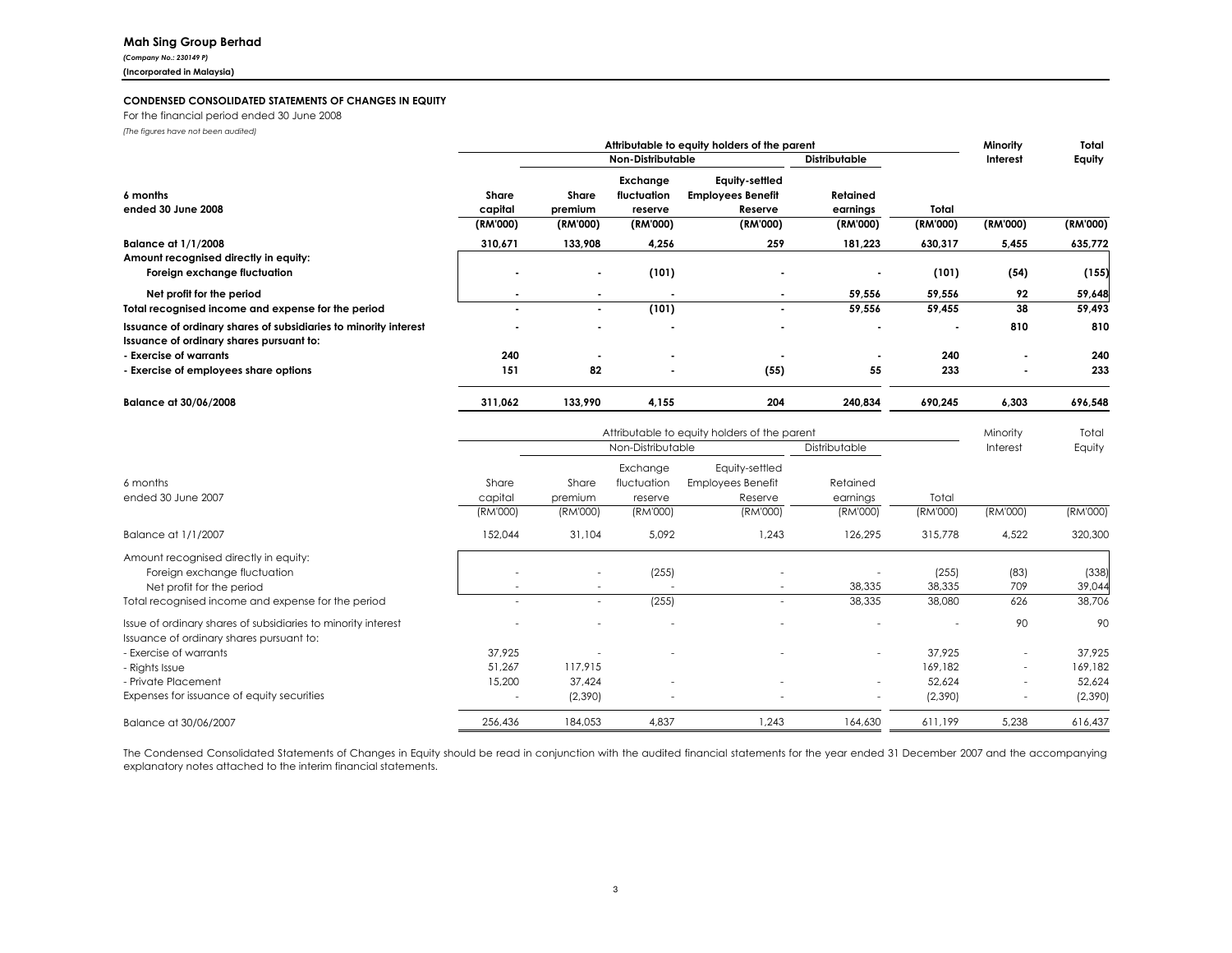### Mah Sing Group Berhad

(Company No.: 230149 P)(Incorporated in Malaysia)

### CONDENSED CONSOLIDATED STATEMENTS OF CHANGES IN EQUITY

For the financial period ended 30 June 2008(The figures have not been audited)

|                                                                                                              | Attributable to equity holders of the parent |                          |                                    |                                                       |                      | Minority | Total          |          |
|--------------------------------------------------------------------------------------------------------------|----------------------------------------------|--------------------------|------------------------------------|-------------------------------------------------------|----------------------|----------|----------------|----------|
|                                                                                                              |                                              | <b>Non-Distributable</b> |                                    |                                                       | <b>Distributable</b> |          | Interest       | Equity   |
| 6 months<br>ended 30 June 2008                                                                               | Share<br>capital                             | Share<br>premium         | Exchange<br>fluctuation<br>reserve | Equity-settled<br><b>Employees Benefit</b><br>Reserve | Retained<br>earnings | Total    |                |          |
|                                                                                                              | (RM'000)                                     | (RM'000)                 | (RM'000)                           | (RM'000)                                              | (RM'000)             | (RM'000) | (RM'000)       | (RM'000) |
| <b>Balance at 1/1/2008</b>                                                                                   | 310,671                                      | 133,908                  | 4,256                              | 259                                                   | 181,223              | 630,317  | 5,455          | 635,772  |
| Amount recognised directly in equity:<br>Foreign exchange fluctuation                                        |                                              | $\blacksquare$           | (101)                              |                                                       |                      | (101)    | (54)           | (155)    |
| Net profit for the period                                                                                    |                                              | $\blacksquare$           |                                    | ٠                                                     | 59,556               | 59,556   | 92             | 59,648   |
| Total recognised income and expense for the period                                                           |                                              | $\blacksquare$           | (101)                              | ٠                                                     | 59,556               | 59,455   | 38             | 59,493   |
| Issuance of ordinary shares of subsidiaries to minority interest<br>Issuance of ordinary shares pursuant to: |                                              | $\overline{\phantom{a}}$ | $\overline{\phantom{a}}$           |                                                       |                      |          | 810            | 810      |
| - Exercise of warrants                                                                                       | 240                                          | $\overline{\phantom{a}}$ | $\blacksquare$                     |                                                       |                      | 240      | $\blacksquare$ | 240      |
| - Exercise of employees share options                                                                        | 151                                          | 82                       | $\overline{\phantom{a}}$           | (55)                                                  | 55                   | 233      | $\blacksquare$ | 233      |
| Balance at 30/06/2008                                                                                        | 311,062                                      | 133,990                  | 4,155                              | 204                                                   | 240,834              | 690,245  | 6,303          | 696,548  |

|                                                                                                           |                  | Attributable to equity holders of the parent |                                    |                                                       |                          |                 | Minority                 | Total           |
|-----------------------------------------------------------------------------------------------------------|------------------|----------------------------------------------|------------------------------------|-------------------------------------------------------|--------------------------|-----------------|--------------------------|-----------------|
|                                                                                                           |                  |                                              | Non-Distributable                  |                                                       | Distributable            |                 | Interest                 | Equity          |
| 6 months<br>ended 30 June 2007                                                                            | Share<br>capital | Share<br>premium                             | Exchange<br>fluctuation<br>reserve | Equity-settled<br><b>Employees Benefit</b><br>Reserve | Retained<br>earnings     | Total           |                          |                 |
|                                                                                                           | (RM'000)         | (RM'000)                                     | (RM'000)                           | (RM'000)                                              | (RM'000)                 | (RM'000)        | (RM'000)                 | (RM'000)        |
| Balance at 1/1/2007                                                                                       | 152,044          | 31,104                                       | 5,092                              | 1,243                                                 | 126,295                  | 315,778         | 4,522                    | 320,300         |
| Amount recognised directly in equity:<br>Foreign exchange fluctuation<br>Net profit for the period        |                  | $\overline{\phantom{a}}$                     | (255)<br>$\overline{\phantom{a}}$  | $\overline{\phantom{a}}$                              | 38,335                   | (255)<br>38,335 | (83)<br>709              | (338)<br>39,044 |
| Total recognised income and expense for the period                                                        |                  | $\overline{\phantom{a}}$                     | (255)                              | $\overline{\phantom{0}}$                              | 38,335                   | 38,080          | 626                      | 38,706          |
| Issue of ordinary shares of subsidiaries to minority interest<br>Issuance of ordinary shares pursuant to: |                  |                                              |                                    |                                                       |                          |                 | 90                       | 90              |
| - Exercise of warrants                                                                                    | 37.925           |                                              |                                    |                                                       | $\overline{\phantom{a}}$ | 37,925          |                          | 37,925          |
| - Rights Issue                                                                                            | 51,267           | 117,915                                      |                                    |                                                       |                          | 169,182         | $\overline{\phantom{a}}$ | 169,182         |
| - Private Placement                                                                                       | 15,200           | 37,424                                       |                                    |                                                       | $\overline{\phantom{a}}$ | 52,624          | $\overline{\phantom{0}}$ | 52,624          |
| Expenses for issuance of equity securities                                                                | Ξ.               | (2,390)                                      | $\overline{\phantom{a}}$           | Ξ.                                                    | $\overline{\phantom{a}}$ | (2,390)         | $\overline{\phantom{a}}$ | (2,390)         |
| Balance at 30/06/2007                                                                                     | 256,436          | 184,053                                      | 4,837                              | 1,243                                                 | 164,630                  | 611,199         | 5,238                    | 616,437         |

The Condensed Consolidated Statements of Changes in Equity should be read in conjunction with the audited financial statements for the year ended <sup>31</sup> December <sup>2007</sup> and the accompanying explanatory notes attached to the interim financial statements.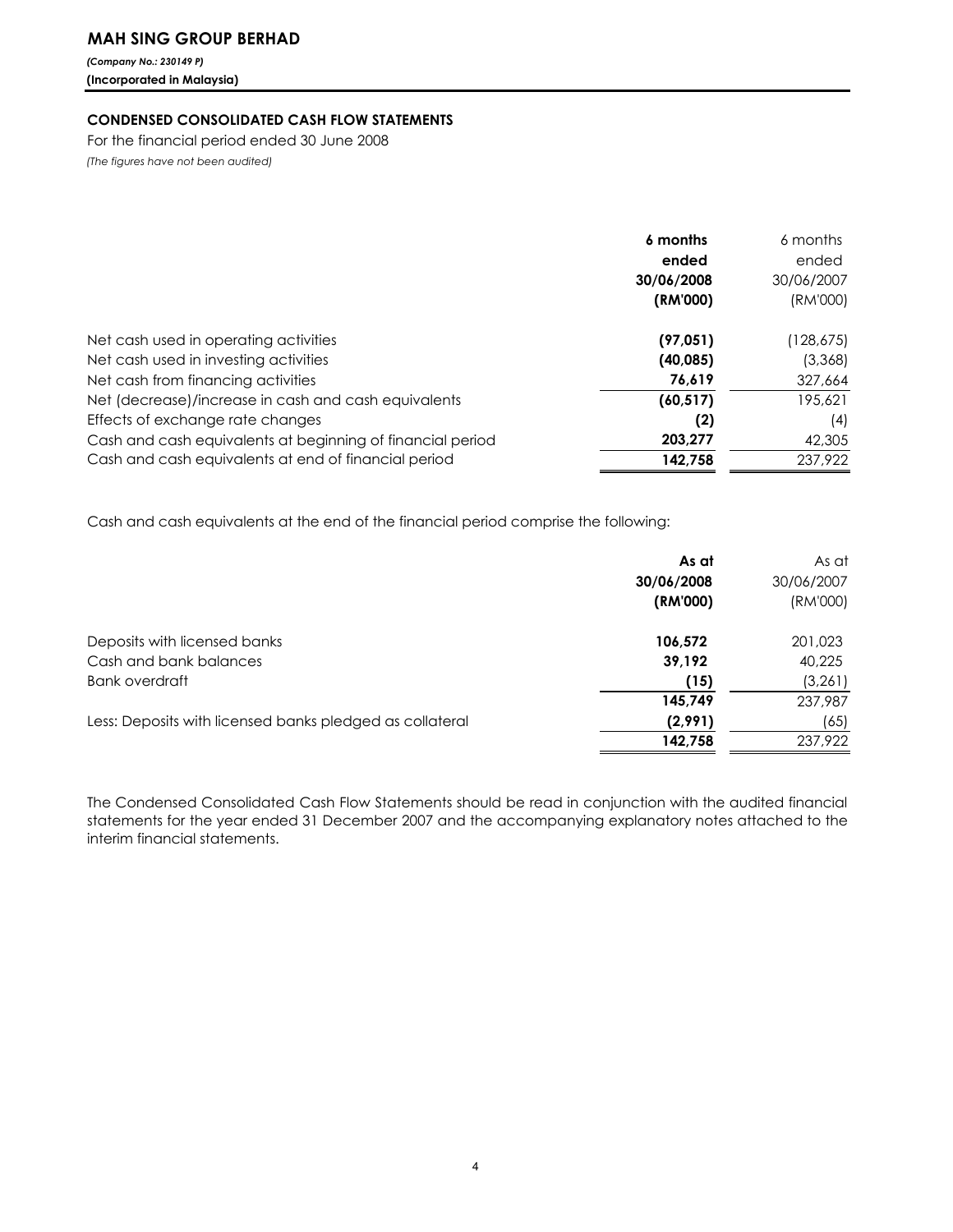# MAH SING GROUP BERHAD

(Company No.: 230149 P) (Incorporated in Malaysia)

## CONDENSED CONSOLIDATED CASH FLOW STATEMENTS

For the financial period ended 30 June 2008 (The figures have not been audited)

|                                                            | 6 months   | 6 months   |
|------------------------------------------------------------|------------|------------|
|                                                            | ended      | ended      |
|                                                            | 30/06/2008 | 30/06/2007 |
|                                                            | (RM'000)   | (RM'000)   |
| Net cash used in operating activities                      | (97, 051)  | (128,675)  |
| Net cash used in investing activities                      | (40, 085)  | (3,368)    |
| Net cash from financing activities                         | 76.619     | 327,664    |
| Net (decrease)/increase in cash and cash equivalents       | (60, 517)  | 195,621    |
| Effects of exchange rate changes                           | (2)        | (4)        |
| Cash and cash equivalents at beginning of financial period | 203,277    | 42,305     |
| Cash and cash equivalents at end of financial period       | 142,758    | 237,922    |

Cash and cash equivalents at the end of the financial period comprise the following:

|                                                          | As at      | As at      |
|----------------------------------------------------------|------------|------------|
|                                                          | 30/06/2008 | 30/06/2007 |
|                                                          | (RM'000)   | (RM'000)   |
| Deposits with licensed banks                             | 106,572    | 201,023    |
| Cash and bank balances                                   | 39,192     | 40,225     |
| Bank overdraft                                           | (15)       | (3,261)    |
|                                                          | 145,749    | 237,987    |
| Less: Deposits with licensed banks pledged as collateral | (2,991)    | (65)       |
|                                                          | 142,758    | 237,922    |

The Condensed Consolidated Cash Flow Statements should be read in conjunction with the audited financial statements for the year ended 31 December 2007 and the accompanying explanatory notes attached to the interim financial statements.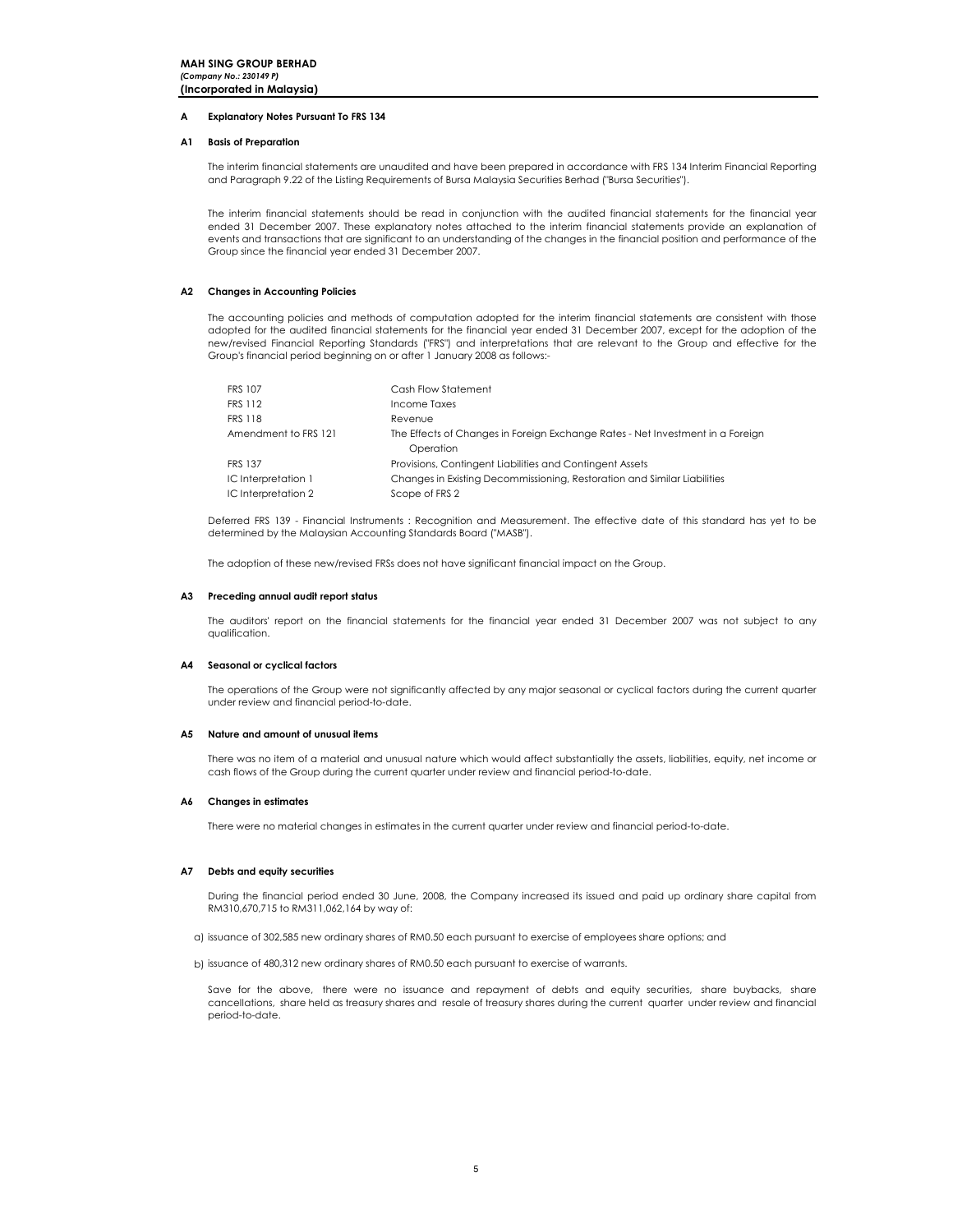### A Explanatory Notes Pursuant To FRS 134

### A1 Basis of Preparation

The interim financial statements are unaudited and have been prepared in accordance with FRS 134 Interim Financial Reporting and Paragraph 9.22 of the Listing Requirements of Bursa Malaysia Securities Berhad ("Bursa Securities").

The interim financial statements should be read in conjunction with the audited financial statements for the financial year ended 31 December 2007. These explanatory notes attached to the interim financial statements provide an explanation of events and transactions that are significant to an understanding of the changes in the financial position and performance of the Group since the financial year ended 31 December 2007.

### A2 Changes in Accounting Policies

The accounting policies and methods of computation adopted for the interim financial statements are consistent with those adopted for the audited financial statements for the financial year ended 31 December 2007, except for the adoption of the new/revised Financial Reporting Standards ("FRS") and interpretations that are relevant to the Group and effective for the Group's financial period beginning on or after 1 January 2008 as follows:-

| <b>FRS 107</b>       | Cash Flow Statement                                                            |
|----------------------|--------------------------------------------------------------------------------|
| <b>FRS 112</b>       | Income Taxes                                                                   |
| <b>FRS 118</b>       | Revenue                                                                        |
| Amendment to FRS 121 | The Effects of Changes in Foreign Exchange Rates - Net Investment in a Foreign |
|                      | Operation                                                                      |
| <b>FRS 137</b>       | Provisions, Contingent Liabilities and Contingent Assets                       |
| IC Interpretation 1  | Changes in Existing Decommissioning, Restoration and Similar Liabilities       |
| IC Interpretation 2  | Scope of FRS 2                                                                 |

Deferred FRS 139 - Financial Instruments : Recognition and Measurement. The effective date of this standard has yet to be determined by the Malaysian Accounting Standards Board ("MASB").

The adoption of these new/revised FRSs does not have significant financial impact on the Group.

### A3 Preceding annual audit report status

The auditors' report on the financial statements for the financial year ended 31 December 2007 was not subject to any qualification.

### A4 Seasonal or cyclical factors

The operations of the Group were not significantly affected by any major seasonal or cyclical factors during the current quarter under review and financial period-to-date.

### A5 Nature and amount of unusual items

There was no item of a material and unusual nature which would affect substantially the assets, liabilities, equity, net income or cash flows of the Group during the current quarter under review and financial period-to-date.

### A6 Changes in estimates

There were no material changes in estimates in the current quarter under review and financial period-to-date.

### A7 Debts and equity securities

During the financial period ended 30 June, 2008, the Company increased its issued and paid up ordinary share capital from RM310,670,715 to RM311,062,164 by way of:

- a) issuance of 302,585 new ordinary shares of RM0.50 each pursuant to exercise of employees share options; and
- b) issuance of 480,312 new ordinary shares of RM0.50 each pursuant to exercise of warrants.

.<br>Save for the above, there were no issuance and repayment of debts and equity securities, share buybacks, share cancellations, share held as treasury shares and resale of treasury shares during the current quarter under review and financial period-to-date.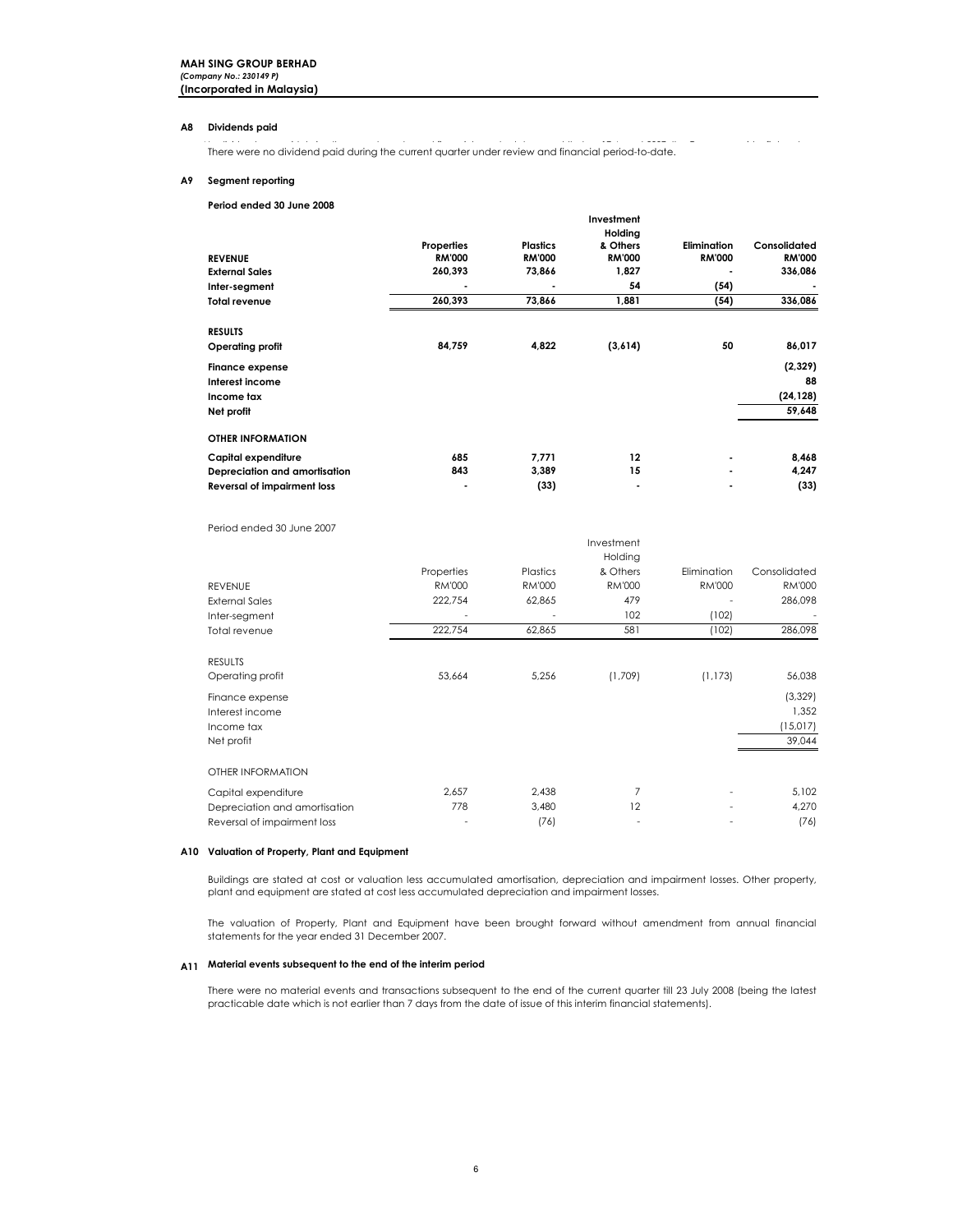### A8 Dividends paid

There were no dividend paid during the current quarter under review and financial period-to-date.

### A9 Segment reporting

### Period ended 30 June 2008

| <b>REVENUE</b><br><b>External Sales</b><br>Inter-segment<br><b>Total revenue</b>              | Properties<br><b>RM'000</b><br>260,393<br>260,393 | <b>Plastics</b><br><b>RM'000</b><br>73,866<br>٠<br>73,866 | Investment<br>Holding<br>& Others<br><b>RM'000</b><br>1,827<br>54<br>1,881 | <b>Elimination</b><br><b>RM'000</b><br>(54)<br>(54) | Consolidated<br><b>RM'000</b><br>336,086<br>336,086 |
|-----------------------------------------------------------------------------------------------|---------------------------------------------------|-----------------------------------------------------------|----------------------------------------------------------------------------|-----------------------------------------------------|-----------------------------------------------------|
|                                                                                               |                                                   |                                                           |                                                                            |                                                     |                                                     |
| <b>RESULTS</b><br>Operating profit<br><b>Finance expense</b><br>Interest income<br>Income tax | 84,759                                            | 4,822                                                     | (3,614)                                                                    | 50                                                  | 86,017<br>(2,329)<br>88<br>(24, 128)                |
| Net profit                                                                                    |                                                   |                                                           |                                                                            |                                                     | 59,648                                              |
| <b>OTHER INFORMATION</b>                                                                      |                                                   |                                                           |                                                                            |                                                     |                                                     |
| Capital expenditure                                                                           | 685                                               | 7,771                                                     | 12                                                                         |                                                     | 8,468                                               |
| Depreciation and amortisation                                                                 | 843                                               | 3,389                                                     | 15                                                                         |                                                     | 4,247                                               |
| <b>Reversal of impairment loss</b>                                                            |                                                   | (33)                                                      | ٠                                                                          |                                                     | (33)                                                |

### Period ended 30 June 2007

|                               | ᆢᇅᇅ           |               |          |               |               |  |
|-------------------------------|---------------|---------------|----------|---------------|---------------|--|
|                               |               |               | Holding  |               |               |  |
|                               | Properties    | Plastics      | & Others | Elimination   | Consolidated  |  |
| <b>REVENUE</b>                | <b>RM'000</b> | <b>RM'000</b> | RM'000   | <b>RM'000</b> | <b>RM'000</b> |  |
| <b>External Sales</b>         | 222,754       | 62,865        | 479      |               | 286,098       |  |
| Inter-segment                 |               |               | 102      | (102)         |               |  |
| Total revenue                 | 222,754       | 62,865        | 581      | (102)         | 286,098       |  |
| <b>RESULTS</b>                |               |               |          |               |               |  |
| Operating profit              | 53,664        | 5,256         | (1,709)  | (1, 173)      | 56,038        |  |
| Finance expense               |               |               |          |               | (3, 329)      |  |
| Interest income               |               |               |          |               | 1,352         |  |
| Income tax                    |               |               |          |               | (15,017)      |  |
| Net profit                    |               |               |          |               | 39,044        |  |
| OTHER INFORMATION             |               |               |          |               |               |  |
| Capital expenditure           | 2,657         | 2,438         | 7        |               | 5,102         |  |
| Depreciation and amortisation | 778           | 3,480         | 12       |               | 4,270         |  |
| Reversal of impairment loss   |               | (76)          |          |               | (76)          |  |

Investment

### A10 Valuation of Property, Plant and Equipment

Buildings are stated at cost or valuation less accumulated amortisation, depreciation and impairment losses. Other property, plant and equipment are stated at cost less accumulated depreciation and impairment losses.

The valuation of Property, Plant and Equipment have been brought forward without amendment from annual financial statements for the year ended 31 December 2007.

### A11 Material events subsequent to the end of the interim period

There were no material events and transactions subsequent to the end of the current quarter till 23 July 2008 (being the latest practicable date which is not earlier than 7 days from the date of issue of this interim financial statements).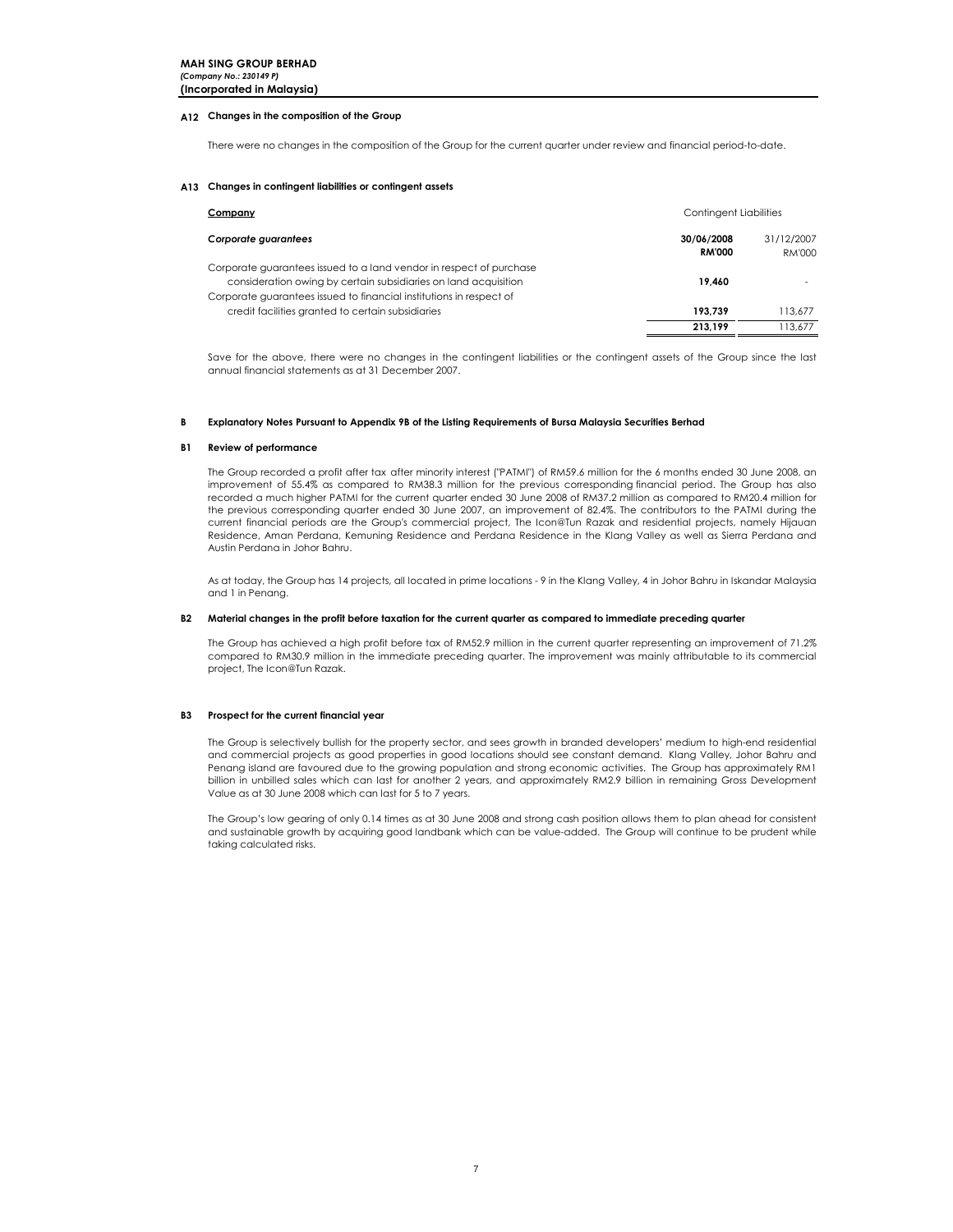### A12 Changes in the composition of the Group

There were no changes in the composition of the Group for the current quarter under review and financial period-to-date.

### A13 Changes in contingent liabilities or contingent assets

| Company                                                                                                                                                                                                       | <b>Contingent Liabilities</b> |                      |
|---------------------------------------------------------------------------------------------------------------------------------------------------------------------------------------------------------------|-------------------------------|----------------------|
| Corporate guarantees                                                                                                                                                                                          | 30/06/2008<br><b>RM'000</b>   | 31/12/2007<br>RM'000 |
| Corporate guarantees issued to a land vendor in respect of purchase<br>consideration owing by certain subsidiaries on land acquisition<br>Corporate guarantees issued to financial institutions in respect of | 19,460                        |                      |
| credit facilities granted to certain subsidiaries                                                                                                                                                             | 193.739                       | 113.677              |
|                                                                                                                                                                                                               | 213.199                       | 113.677              |

Save for the above, there were no changes in the contingent liabilities or the contingent assets of the Group since the last annual financial statements as at 31 December 2007.

#### B Explanatory Notes Pursuant to Appendix 9B of the Listing Requirements of Bursa Malaysia Securities Berhad

### B1 Review of performance

The Group recorded a profit after tax after minority interest ("PATMI") of RM59.6 million for the 6 months ended 30 June 2008, an improvement of 55.4% as compared to RM38.3 million for the previous corresponding financial period. The Group has also recorded a much higher PATMI for the current quarter ended 30 June 2008 of RM37.2 million as compared to RM20.4 million for the previous corresponding quarter ended 30 June 2007, an improvement of 82.4%. The contributors to the PATMI during the current financial periods are the Group's commercial project, The Icon@Tun Razak and residential projects, namely Hijauan Residence, Aman Perdana, Kemuning Residence and Perdana Residence in the Klang Valley as well as Sierra Perdana and Austin Perdana in Johor Bahru.

As at today, the Group has 14 projects, all located in prime locations - 9 in the Klang Valley, 4 in Johor Bahru in Iskandar Malaysia and 1 in Penang.

### B2 Material changes in the profit before taxation for the current quarter as compared to immediate preceding quarter

The Group has achieved a high profit before tax of RM52.9 million in the current quarter representing an improvement of 71.2% compared to RM30.9 million in the immediate preceding quarter. The improvement was mainly attributable to its commercial project, The Icon@Tun Razak.

### B3 Prospect for the current financial year

The Group is selectively bullish for the property sector, and sees growth in branded developers' medium to high-end residential and commercial projects as good properties in good locations should see constant demand. Klang Valley, Johor Bahru and Penang island are favoured due to the growing population and strong economic activities. The Group has approximately RM1 billion in unbilled sales which can last for another 2 years, and approximately RM2.9 billion in remaining Gross Development Value as at 30 June 2008 which can last for 5 to 7 years.

The Group's low gearing of only 0.14 times as at 30 June 2008 and strong cash position allows them to plan ahead for consistent and sustainable growth by acquiring good landbank which can be value-added. The Group will continue to be prudent while taking calculated risks.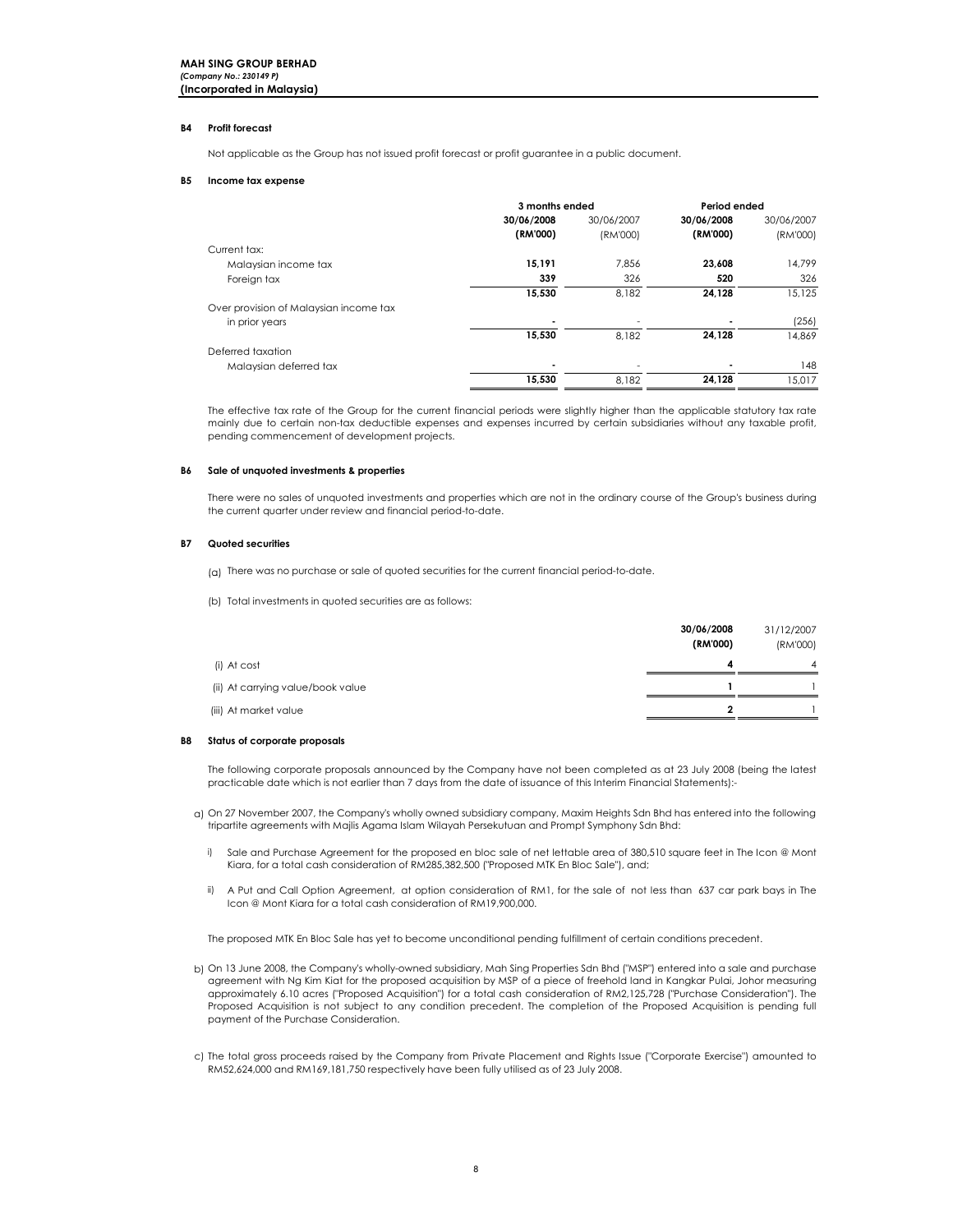### B4 Profit forecast

Not applicable as the Group has not issued profit forecast or profit guarantee in a public document.

### B5 Income tax expense

|                                        | 3 months ended | Period ended |            |            |
|----------------------------------------|----------------|--------------|------------|------------|
|                                        | 30/06/2008     | 30/06/2007   | 30/06/2008 | 30/06/2007 |
|                                        | (RM'000)       | (RM'000)     | (RM'000)   | (RM'000)   |
| Current tax:                           |                |              |            |            |
| Malaysian income tax                   | 15,191         | 7.856        | 23,608     | 14.799     |
| Foreign tax                            | 339            | 326          | 520        | 326        |
|                                        | 15,530         | 8.182        | 24.128     | 15.125     |
| Over provision of Malaysian income tax |                |              |            |            |
| in prior years                         | ٠              |              |            | (256)      |
|                                        | 15,530         | 8.182        | 24.128     | 14.869     |
| Deferred taxation                      |                |              |            |            |
| Malaysian deferred tax                 | ٠              |              |            | 148        |
|                                        | 15,530         | 8.182        | 24,128     | 15.017     |

The effective tax rate of the Group for the current financial periods were slightly higher than the applicable statutory tax rate mainly due to certain non-tax deductible expenses and expenses incurred by certain subsidiaries without any taxable profit, pending commencement of development projects.

### B6 Sale of unquoted investments & properties

There were no sales of unquoted investments and properties which are not in the ordinary course of the Group's business during the current quarter under review and financial period-to-date.

### B7 Quoted securities

- (a) There was no purchase or sale of quoted securities for the current financial period-to-date.
- (b) Total investments in quoted securities are as follows:

|                                   | 30/06/2008 | 31/12/2007     |
|-----------------------------------|------------|----------------|
|                                   | (RM'000)   | (RM'000)       |
| (i) At cost                       | 4          | $\overline{4}$ |
| (ii) At carrying value/book value |            |                |
| (iii) At market value             | ,          |                |

### B8 Status of corporate proposals

The following corporate proposals announced by the Company have not been completed as at 23 July 2008 (being the latest practicable date which is not earlier than 7 days from the date of issuance of this Interim Financial Statements):-

- a) On 27 November 2007, the Company's wholly owned subsidiary company, Maxim Heights Sdn Bhd has entered into the following tripartite agreements with Majlis Agama Islam Wilayah Persekutuan and Prompt Symphony Sdn Bhd:
	- i) Sale and Purchase Agreement for the proposed en bloc sale of net lettable area of 380,510 square feet in The Icon @ Mont Kiara, for a total cash consideration of RM285,382,500 ("Proposed MTK En Bloc Sale"), and;
	- ii) A Put and Call Option Agreement, at option consideration of RM1, for the sale of not less than 637 car park bays in The Icon @ Mont Kiara for a total cash consideration of RM19,900,000.

The proposed MTK En Bloc Sale has yet to become unconditional pending fulfillment of certain conditions precedent.

- b) On 13 June 2008, the Company's wholly-owned subsidiary, Mah Sing Properties Sdn Bhd ("MSP") entered into a sale and purchase agreement with Ng Kim Kiat for the proposed acquisition by MSP of a piece of freehold land in Kangkar Pulai, Johor measuring approximately 6.10 acres ("Proposed Acquisition") for a total cash consideration of RM2,125,728 ("Purchase Consideration"). The Proposed Acquisition is not subject to any condition precedent. The completion of the Proposed Acquisition is pending full payment of the Purchase Consideration.
- c) The total gross proceeds raised by the Company from Private Placement and Rights Issue ("Corporate Exercise") amounted to RM52,624,000 and RM169,181,750 respectively have been fully utilised as of 23 July 2008.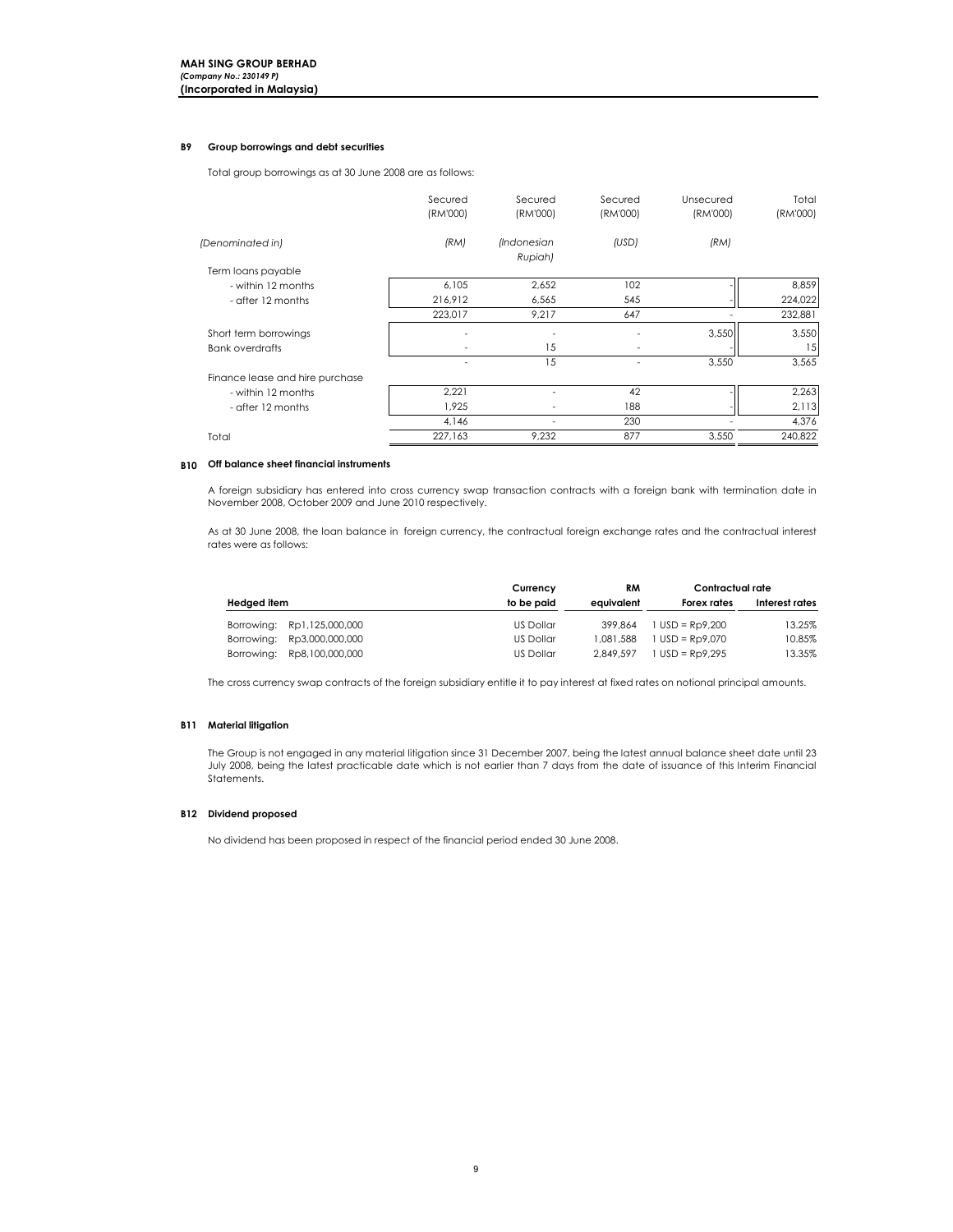### B9 Group borrowings and debt securities

Total group borrowings as at 30 June 2008 are as follows:

|                                 | Secured<br>(RM'000) | Secured<br>(RM'000)           | Secured<br>(RM'000) | Unsecured<br>(RM'000) | Total<br>(RM'000) |
|---------------------------------|---------------------|-------------------------------|---------------------|-----------------------|-------------------|
| (Denominated in)                | (RM)                | <i>(Indonesian</i><br>Rupiah) | (USD)               | (RM)                  |                   |
| Term loans payable              |                     |                               |                     |                       |                   |
| - within 12 months              | 6,105               | 2,652                         | 102                 |                       | 8,859             |
| - after 12 months               | 216,912             | 6,565                         | 545                 |                       | 224,022           |
|                                 | 223,017             | 9,217                         | 647                 |                       | 232,881           |
| Short term borrowings           |                     |                               |                     | 3,550                 | 3,550             |
| <b>Bank overdrafts</b>          |                     | 15                            |                     |                       | 15                |
|                                 |                     | 15                            |                     | 3,550                 | 3,565             |
| Finance lease and hire purchase |                     |                               |                     |                       |                   |
| - within 12 months              | 2,221               |                               | 42                  |                       | 2,263             |
| - after 12 months               | 1,925               |                               | 188                 |                       | 2,113             |
|                                 | 4,146               |                               | 230                 |                       | 4,376             |
| Total                           | 227,163             | 9,232                         | 877                 | 3,550                 | 240,822           |

### B10 Off balance sheet financial instruments

A foreign subsidiary has entered into cross currency swap transaction contracts with a foreign bank with termination date in November 2008, October 2009 and June 2010 respectively.

As at 30 June 2008, the loan balance in foreign currency, the contractual foreign exchange rates and the contractual interest rates were as follows:

|                            | Currency   | RM         | Contractual rate  |                |
|----------------------------|------------|------------|-------------------|----------------|
| Hedged item                | to be paid | eauivalent | Forex rates       | Interest rates |
| Borrowing: Rp1,125,000,000 | US Dollar  | 399.864    | $1$ USD = Rp9.200 | 13.25%         |
| Borrowing: Rp3,000,000,000 | US Dollar  | 1.081.588  | $1$ USD = Rp9.070 | 10.85%         |
| Borrowing: Rp8,100,000,000 | US Dollar  | 2.849.597  | $1$ USD = Rp9.295 | 13.35%         |

The cross currency swap contracts of the foreign subsidiary entitle it to pay interest at fixed rates on notional principal amounts.

### **B11** Material litigation

The Group is not engaged in any material litigation since 31 December 2007, being the latest annual balance sheet date until 23 July 2008, being the latest practicable date which is not earlier than 7 days from the date of issuance of this Interim Financial Statements.

## B12 Dividend proposed

No dividend has been proposed in respect of the financial period ended 30 June 2008.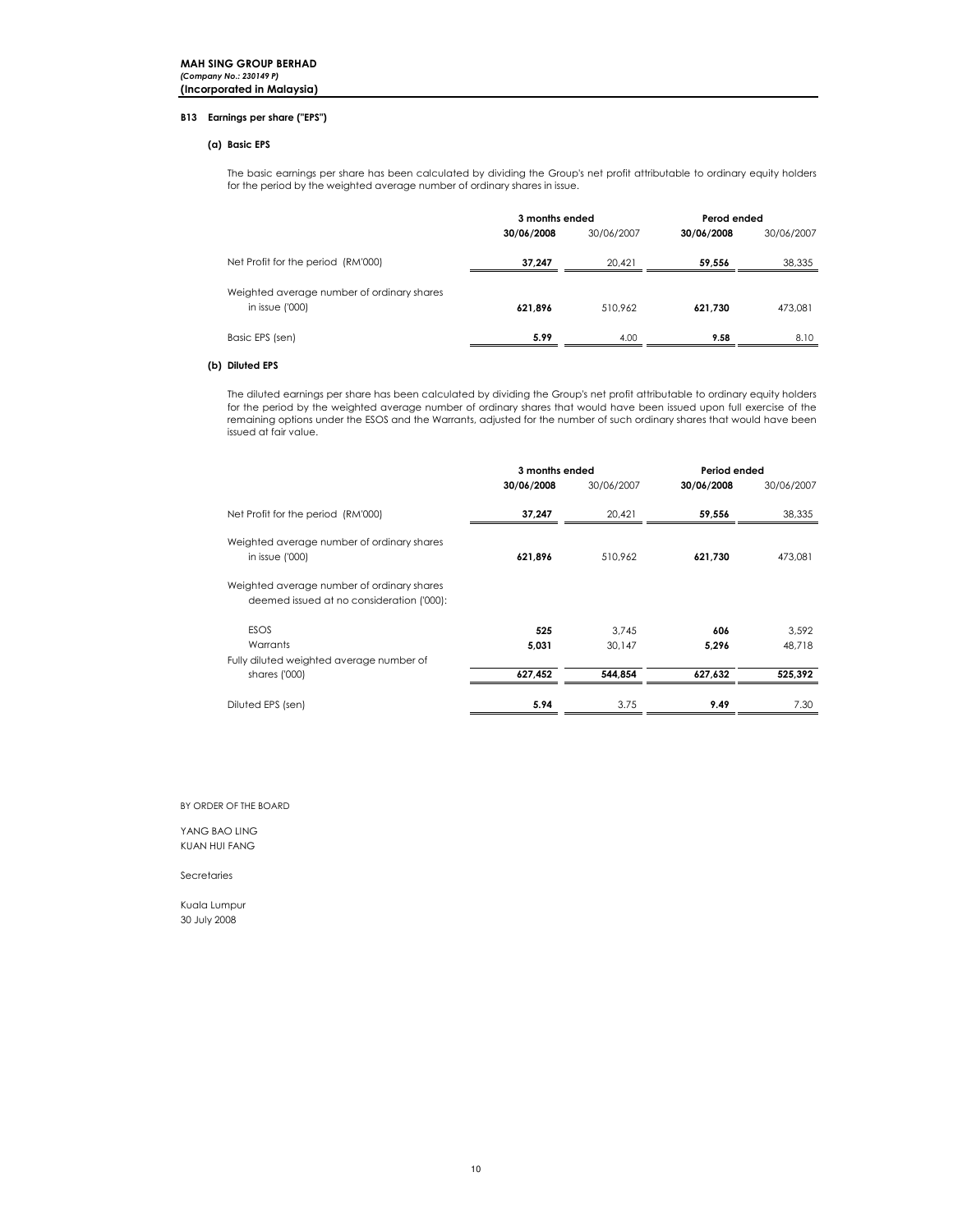### B13 Earnings per share ("EPS")

### (a) Basic EPS

The basic earnings per share has been calculated by dividing the Group's net profit attributable to ordinary equity holders for the period by the weighted average number of ordinary shares in issue.

|                                                                | 3 months ended |            | Perod ended |            |
|----------------------------------------------------------------|----------------|------------|-------------|------------|
|                                                                | 30/06/2008     | 30/06/2007 | 30/06/2008  | 30/06/2007 |
| Net Profit for the period (RM'000)                             | 37.247         | 20.421     | 59.556      | 38,335     |
| Weighted average number of ordinary shares<br>in issue $(000)$ | 621.896        | 510.962    | 621.730     | 473,081    |
| Basic EPS (sen)                                                | 5.99           | 4.00       | 9.58        | 8.10       |

### (b) Diluted EPS

The diluted earnings per share has been calculated by dividing the Group's net profit attributable to ordinary equity holders for the period by the weighted average number of ordinary shares that would have been issued upon full exercise of the remaining options under the ESOS and the Warrants, adjusted for the number of such ordinary shares that would have been issued at fair value.

|                                                                                         | 3 months ended |            | Period ended |            |
|-----------------------------------------------------------------------------------------|----------------|------------|--------------|------------|
|                                                                                         | 30/06/2008     | 30/06/2007 | 30/06/2008   | 30/06/2007 |
| Net Profit for the period (RM'000)                                                      | 37,247         | 20,421     | 59,556       | 38,335     |
| Weighted average number of ordinary shares<br>in issue $(000)$                          | 621,896        | 510,962    | 621,730      | 473,081    |
| Weighted average number of ordinary shares<br>deemed issued at no consideration ('000): |                |            |              |            |
| <b>ESOS</b>                                                                             | 525            | 3.745      | 606          | 3,592      |
| Warrants                                                                                | 5.031          | 30.147     | 5.296        | 48.718     |
| Fully diluted weighted average number of                                                |                |            |              |            |
| shares ('000)                                                                           | 627,452        | 544.854    | 627.632      | 525,392    |
| Diluted EPS (sen)                                                                       | 5.94           | 3.75       | 9.49         | 7.30       |

### BY ORDER OF THE BOARD

### YANG BAO LING KUAN HUI FANG

Secretaries

Kuala Lumpur 30 July 2008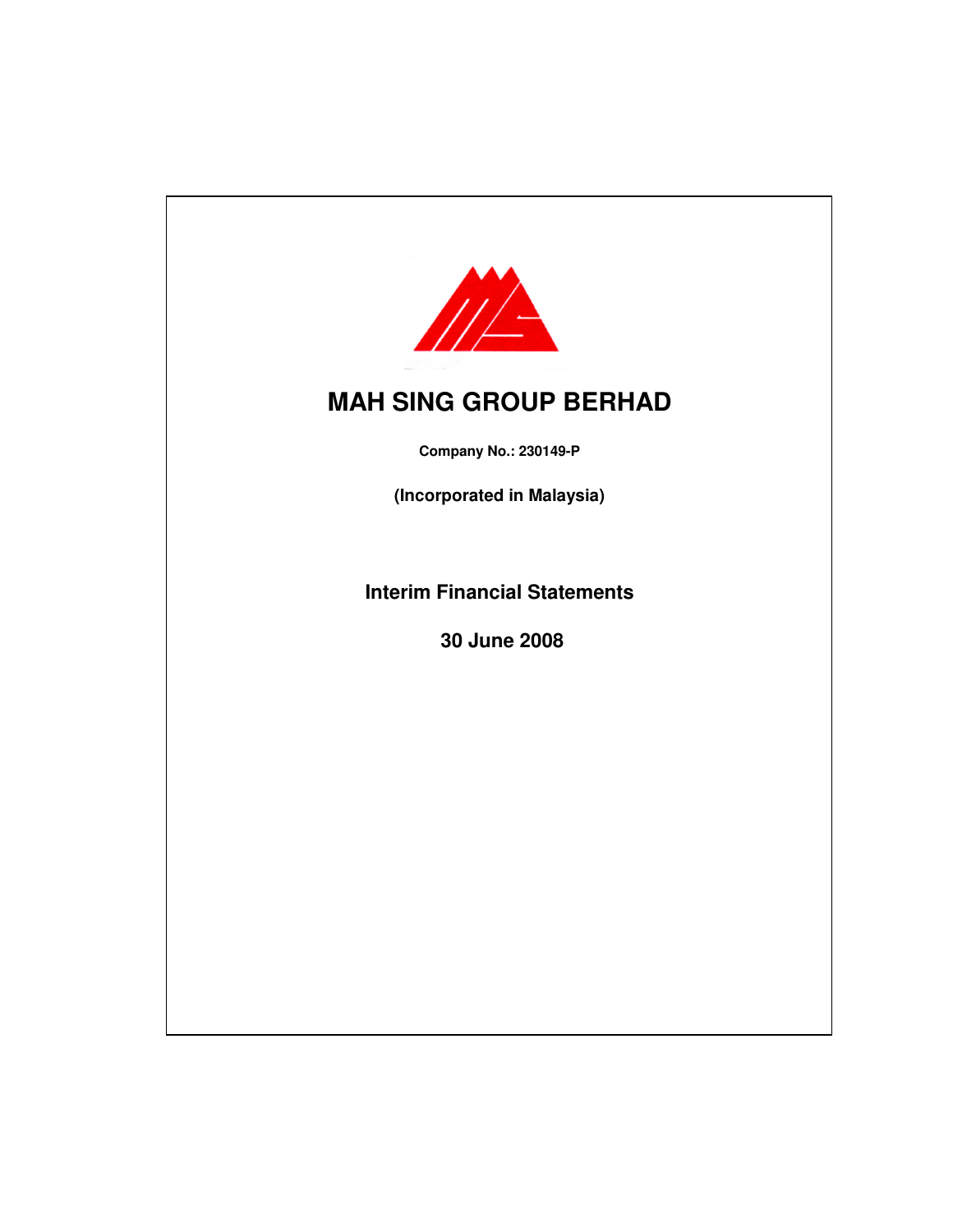